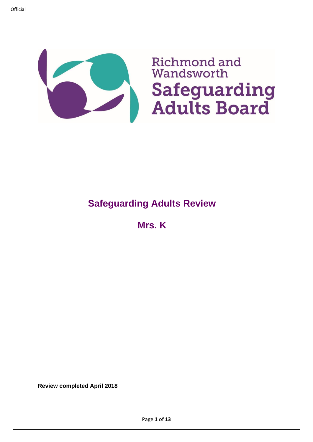

# **Safeguarding Adults Review**

**Mrs. K**

**Review completed April 2018**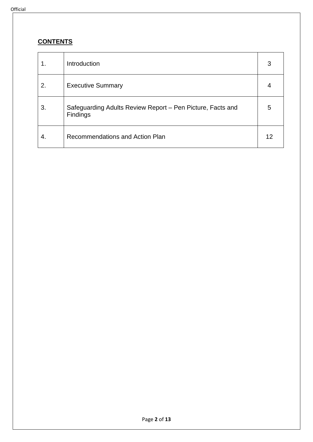## **CONTENTS**

|    | Introduction                                                           | 3  |
|----|------------------------------------------------------------------------|----|
| 2. | <b>Executive Summary</b>                                               | 4  |
| 3. | Safeguarding Adults Review Report - Pen Picture, Facts and<br>Findings | 5  |
| 4. | Recommendations and Action Plan                                        | 12 |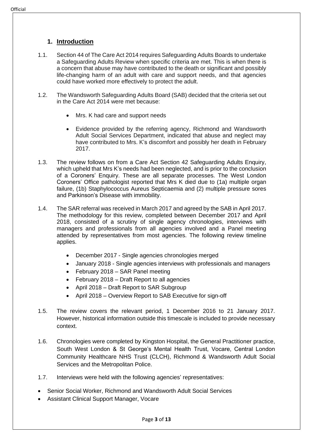- 1.1. Section 44 of The Care Act 2014 requires Safeguarding Adults Boards to undertake a Safeguarding Adults Review when specific criteria are met. This is when there is a concern that abuse may have contributed to the death or significant and possibly life-changing harm of an adult with care and support needs, and that agencies could have worked more effectively to protect the adult.
- 1.2. The Wandsworth Safeguarding Adults Board (SAB) decided that the criteria set out in the Care Act 2014 were met because:
	- Mrs. K had care and support needs
	- Evidence provided by the referring agency, Richmond and Wandsworth Adult Social Services Department, indicated that abuse and neglect may have contributed to Mrs. K's discomfort and possibly her death in February 2017.
- 1.3. The review follows on from a Care Act Section 42 Safeguarding Adults Enquiry, which upheld that Mrs K's needs had been neglected, and is prior to the conclusion of a Coroners' Enquiry. These are all separate processes. The West London Coroners' Office pathologist reported that Mrs K died due to (1a) multiple organ failure, (1b) Staphylococcus Aureus Septicaemia and (2) multiple pressure sores and Parkinson's Disease with immobility.
- 1.4. The SAR referral was received in March 2017 and agreed by the SAB in April 2017. The methodology for this review, completed between December 2017 and April 2018, consisted of a scrutiny of single agency chronologies, interviews with managers and professionals from all agencies involved and a Panel meeting attended by representatives from most agencies. The following review timeline applies.
	- December 2017 Single agencies chronologies merged
	- January 2018 Single agencies interviews with professionals and managers
	- February 2018 SAR Panel meeting
	- February 2018 Draft Report to all agencies
	- April 2018 Draft Report to SAR Subgroup
	- April 2018 Overview Report to SAB Executive for sign-off
- 1.5. The review covers the relevant period, 1 December 2016 to 21 January 2017. However, historical information outside this timescale is included to provide necessary context.
- 1.6. Chronologies were completed by Kingston Hospital, the General Practitioner practice, South West London & St George's Mental Health Trust, Vocare, Central London Community Healthcare NHS Trust (CLCH), Richmond & Wandsworth Adult Social Services and the Metropolitan Police.
- 1.7. Interviews were held with the following agencies' representatives:
- Senior Social Worker, Richmond and Wandsworth Adult Social Services
- Assistant Clinical Support Manager, Vocare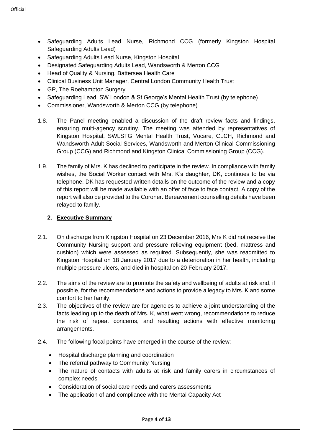- Safeguarding Adults Lead Nurse, Richmond CCG (formerly Kingston Hospital Safeguarding Adults Lead)
- Safeguarding Adults Lead Nurse, Kingston Hospital
- Designated Safeguarding Adults Lead, Wandsworth & Merton CCG
- Head of Quality & Nursing, Battersea Health Care
- Clinical Business Unit Manager, Central London Community Health Trust
- GP, The Roehampton Surgery
- Safeguarding Lead, SW London & St George's Mental Health Trust (by telephone)
- Commissioner, Wandsworth & Merton CCG (by telephone)
- 1.8. The Panel meeting enabled a discussion of the draft review facts and findings, ensuring multi-agency scrutiny. The meeting was attended by representatives of Kingston Hospital, SWLSTG Mental Health Trust, Vocare, CLCH, Richmond and Wandsworth Adult Social Services, Wandsworth and Merton Clinical Commissioning Group (CCG) and Richmond and Kingston Clinical Commissioning Group (CCG).
- 1.9. The family of Mrs. K has declined to participate in the review. In compliance with family wishes, the Social Worker contact with Mrs. K's daughter, DK, continues to be via telephone. DK has requested written details on the outcome of the review and a copy of this report will be made available with an offer of face to face contact. A copy of the report will also be provided to the Coroner. Bereavement counselling details have been relayed to family.

## **2. Executive Summary**

- 2.1. On discharge from Kingston Hospital on 23 December 2016, Mrs K did not receive the Community Nursing support and pressure relieving equipment (bed, mattress and cushion) which were assessed as required. Subsequently, she was readmitted to Kingston Hospital on 18 January 2017 due to a deterioration in her health, including multiple pressure ulcers, and died in hospital on 20 February 2017.
- 2.2. The aims of the review are to promote the safety and wellbeing of adults at risk and, if possible, for the recommendations and actions to provide a legacy to Mrs. K and some comfort to her family.
- 2.3. The objectives of the review are for agencies to achieve a joint understanding of the facts leading up to the death of Mrs. K, what went wrong, recommendations to reduce the risk of repeat concerns, and resulting actions with effective monitoring arrangements.
- 2.4. The following focal points have emerged in the course of the review:
	- Hospital discharge planning and coordination
	- The referral pathway to Community Nursing
	- The nature of contacts with adults at risk and family carers in circumstances of complex needs
	- Consideration of social care needs and carers assessments
	- The application of and compliance with the Mental Capacity Act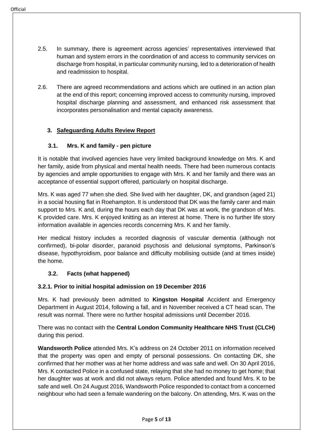- 2.5. In summary, there is agreement across agencies' representatives interviewed that human and system errors in the coordination of and access to community services on discharge from hospital, in particular community nursing, led to a deterioration of health and readmission to hospital.
- 2.6. There are agreed recommendations and actions which are outlined in an action plan at the end of this report; concerning improved access to community nursing, improved hospital discharge planning and assessment, and enhanced risk assessment that incorporates personalisation and mental capacity awareness.

## **3. Safeguarding Adults Review Report**

### **3.1. Mrs. K and family - pen picture**

It is notable that involved agencies have very limited background knowledge on Mrs. K and her family, aside from physical and mental health needs. There had been numerous contacts by agencies and ample opportunities to engage with Mrs. K and her family and there was an acceptance of essential support offered, particularly on hospital discharge.

Mrs. K was aged 77 when she died. She lived with her daughter, DK, and grandson (aged 21) in a social housing flat in Roehampton. It is understood that DK was the family carer and main support to Mrs. K and, during the hours each day that DK was at work, the grandson of Mrs. K provided care. Mrs. K enjoyed knitting as an interest at home. There is no further life story information available in agencies records concerning Mrs. K and her family.

Her medical history includes a recorded diagnosis of vascular dementia (although not confirmed), bi-polar disorder, paranoid psychosis and delusional symptoms, Parkinson's disease, hypothyroidism, poor balance and difficulty mobilising outside (and at times inside) the home.

### **3.2. Facts (what happened)**

### **3.2.1. Prior to initial hospital admission on 19 December 2016**

Mrs. K had previously been admitted to **Kingston Hospital** Accident and Emergency Department in August 2014, following a fall, and in November received a CT head scan. The result was normal. There were no further hospital admissions until December 2016.

There was no contact with the **Central London Community Healthcare NHS Trust (CLCH)** during this period.

**Wandsworth Police** attended Mrs. K's address on 24 October 2011 on information received that the property was open and empty of personal possessions. On contacting DK, she confirmed that her mother was at her home address and was safe and well. On 30 April 2016, Mrs. K contacted Police in a confused state, relaying that she had no money to get home; that her daughter was at work and did not always return. Police attended and found Mrs. K to be safe and well. On 24 August 2016, Wandsworth Police responded to contact from a concerned neighbour who had seen a female wandering on the balcony. On attending, Mrs. K was on the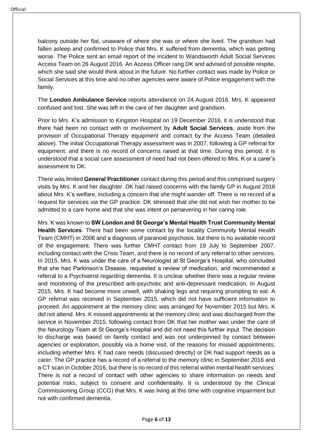balcony outside her flat, unaware of where she was or where she lived. The grandson had fallen asleep and confirmed to Police that Mrs. K suffered from dementia, which was getting worse. The Police sent an email report of the incident to Wandsworth Adult Social Services Access Team on 26 August 2016. An Access Officer rang DK and advised of possible respite, which she said she would think about in the future. No further contact was made by Police or Social Services at this time and no other agencies were aware of Police engagement with the family.

The **London Ambulance Service** reports attendance on 24 August 2016. Mrs. K appeared confused and lost. She was left in the care of her daughter and grandson.

Prior to Mrs. K's admission to Kingston Hospital on 19 December 2016, it is understood that there had been no contact with or involvement by **Adult Social Services**, aside from the provision of Occupational Therapy equipment and contact by the Access Team (detailed above). The initial Occupational Therapy assessment was in 2007, following a GP referral for equipment, and there is no record of concerns raised at that time. During this period, it is understood that a social care assessment of need had not been offered to Mrs. K or a carer's assessment to DK.

There was limited **General Practitioner** contact during this period and this comprised surgery visits by Mrs. K and her daughter. DK had raised concerns with the family GP in August 2016 about Mrs. K's welfare, including a concern that she might wander off. There is no record of a request for services via the GP practice. DK stressed that she did not wish her mother to be admitted to a care home and that she was intent on persevering in her caring role.

Mrs. K was known to **SW London and St George's Mental Health Trust Community Mental Health Services**. There had been some contact by the locality Community Mental Health Team (CMHT) in 2006 and a diagnosis of paranoid psychosis, but there is no available record of the engagement. There was further CMHT contact from 19 July to September 2007, including contact with the Crisis Team, and there is no record of any referral to other services. In 2015, Mrs. K was under the care of a Neurologist at St George's Hospital, who concluded that she had Parkinson's Disease, requested a review of medication, and recommended a referral to a Psychiatrist regarding dementia. It is unclear whether there was a regular review and monitoring of the prescribed anti-psychotic and anti-depressant medication. In August 2015, Mrs. K had become more unwell, with shaking legs and requiring prompting to eat. A GP referral was received in September 2015, which did not have sufficient information to proceed. An appointment at the memory clinic was arranged for November 2015 but Mrs. K did not attend. Mrs. K missed appointments at the memory clinic and was discharged from the service in November 2015, following contact from DK that her mother was under the care of the Neurology Team at St George's Hospital and did not need this further input. The decision to discharge was based on family contact and was not underpinned by contact between agencies or exploration, possibly via a home visit, of the reasons for missed appointments; including whether Mrs. K had care needs (discussed directly) or DK had support needs as a carer. The GP practice has a record of a referral to the memory clinic in September 2016 and a CT scan in October 2016, but there is no record of this referral within mental health services. There is not a record of contact with other agencies to share information on needs and potential risks, subject to consent and confidentiality. It is understood by the Clinical Commissioning Group (CCG) that Mrs. K was living at this time with cognitive impairment but not with confirmed dementia.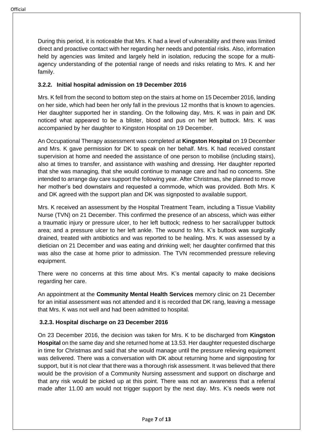During this period, it is noticeable that Mrs. K had a level of vulnerability and there was limited direct and proactive contact with her regarding her needs and potential risks. Also, information held by agencies was limited and largely held in isolation, reducing the scope for a multiagency understanding of the potential range of needs and risks relating to Mrs. K and her family.

## **3.2.2. Initial hospital admission on 19 December 2016**

Mrs. K fell from the second to bottom step on the stairs at home on 15 December 2016, landing on her side, which had been her only fall in the previous 12 months that is known to agencies. Her daughter supported her in standing. On the following day, Mrs. K was in pain and DK noticed what appeared to be a blister, blood and pus on her left buttock. Mrs. K was accompanied by her daughter to Kingston Hospital on 19 December.

An Occupational Therapy assessment was completed at **Kingston Hospital** on 19 December and Mrs. K gave permission for DK to speak on her behalf. Mrs. K had received constant supervision at home and needed the assistance of one person to mobilise (including stairs), also at times to transfer, and assistance with washing and dressing. Her daughter reported that she was managing, that she would continue to manage care and had no concerns. She intended to arrange day care support the following year. After Christmas, she planned to move her mother's bed downstairs and requested a commode, which was provided. Both Mrs. K and DK agreed with the support plan and DK was signposted to available support.

Mrs. K received an assessment by the Hospital Treatment Team, including a Tissue Viability Nurse (TVN) on 21 December. This confirmed the presence of an abscess, which was either a traumatic injury or pressure ulcer, to her left buttock; redness to her sacral/upper buttock area; and a pressure ulcer to her left ankle. The wound to Mrs. K's buttock was surgically drained, treated with antibiotics and was reported to be healing. Mrs. K was assessed by a dietician on 21 December and was eating and drinking well; her daughter confirmed that this was also the case at home prior to admission. The TVN recommended pressure relieving equipment.

There were no concerns at this time about Mrs. K's mental capacity to make decisions regarding her care.

An appointment at the **Community Mental Health Services** memory clinic on 21 December for an initial assessment was not attended and it is recorded that DK rang, leaving a message that Mrs. K was not well and had been admitted to hospital.

### **3.2.3. Hospital discharge on 23 December 2016**

On 23 December 2016, the decision was taken for Mrs. K to be discharged from **Kingston Hospital** on the same day and she returned home at 13.53. Her daughter requested discharge in time for Christmas and said that she would manage until the pressure relieving equipment was delivered. There was a conversation with DK about returning home and signposting for support, but it is not clear that there was a thorough risk assessment. It was believed that there would be the provision of a Community Nursing assessment and support on discharge and that any risk would be picked up at this point. There was not an awareness that a referral made after 11.00 am would not trigger support by the next day. Mrs. K's needs were not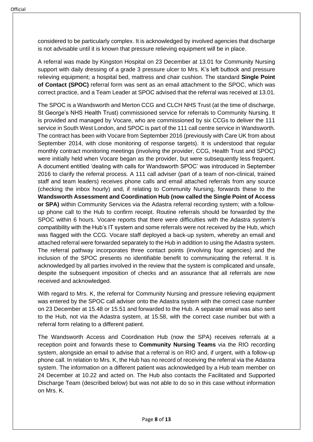considered to be particularly complex. It is acknowledged by involved agencies that discharge is not advisable until it is known that pressure relieving equipment will be in place.

A referral was made by Kingston Hospital on 23 December at 13.01 for Community Nursing support with daily dressing of a grade 3 pressure ulcer to Mrs. K's left buttock and pressure relieving equipment; a hospital bed, mattress and chair cushion. The standard **Single Point of Contact (SPOC)** referral form was sent as an email attachment to the SPOC, which was correct practice, and a Team Leader at SPOC advised that the referral was received at 13.01.

The SPOC is a Wandsworth and Merton CCG and CLCH NHS Trust (at the time of discharge, St George's NHS Health Trust) commissioned service for referrals to Community Nursing. It is provided and managed by Vocare, who are commissioned by six CCGs to deliver the 111 service in South West London, and SPOC is part of the 111 call centre service in Wandsworth. The contract has been with Vocare from September 2016 (previously with Care UK from about September 2014, with close monitoring of response targets). It is understood that regular monthly contract monitoring meetings (involving the provider, CCG, Health Trust and SPOC) were initially held when Vocare began as the provider, but were subsequently less frequent. A document entitled 'dealing with calls for Wandsworth SPOC' was introduced in September 2016 to clarify the referral process. A 111 call adviser (part of a team of non-clinical, trained staff and team leaders) receives phone calls and email attached referrals from any source (checking the inbox hourly) and, if relating to Community Nursing, forwards these to the **Wandsworth Assessment and Coordination Hub (now called the Single Point of Access or SPA)** within Community Services via the Adastra referral recording system; with a followup phone call to the Hub to confirm receipt. Routine referrals should be forwarded by the SPOC within 6 hours. Vocare reports that there were difficulties with the Adastra system's compatibility with the Hub's IT system and some referrals were not received by the Hub, which was flagged with the CCG. Vocare staff deployed a back-up system, whereby an email and attached referral were forwarded separately to the Hub in addition to using the Adastra system. The referral pathway incorporates three contact points (involving four agencies) and the inclusion of the SPOC presents no identifiable benefit to communicating the referral. It is acknowledged by all parties involved in the review that the system is complicated and unsafe, despite the subsequent imposition of checks and an assurance that all referrals are now received and acknowledged.

With regard to Mrs. K, the referral for Community Nursing and pressure relieving equipment was entered by the SPOC call adviser onto the Adastra system with the correct case number on 23 December at 15.48 or 15.51 and forwarded to the Hub. A separate email was also sent to the Hub, not via the Adastra system, at 15.58, with the correct case number but with a referral form relating to a different patient.

The Wandsworth Access and Coordination Hub (now the SPA) receives referrals at a reception point and forwards these to **Community Nursing Teams** via the RIO recording system, alongside an email to advise that a referral is on RIO and, if urgent, with a follow-up phone call. In relation to Mrs. K, the Hub has no record of receiving the referral via the Adastra system. The information on a different patient was acknowledged by a Hub team member on 24 December at 10.22 and acted on. The Hub also contacts the Facilitated and Supported Discharge Team (described below) but was not able to do so in this case without information on Mrs. K.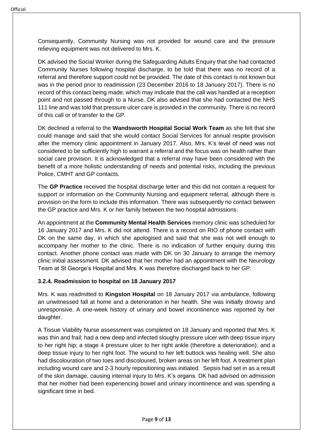Consequently, Community Nursing was not provided for wound care and the pressure relieving equipment was not delivered to Mrs. K.

DK advised the Social Worker during the Safeguarding Adults Enquiry that she had contacted Community Nurses following hospital discharge, to be told that there was no record of a referral and therefore support could not be provided. The date of this contact is not known but was in the period prior to readmission (23 December 2016 to 18 January 2017). There is no record of this contact being made, which may indicate that the call was handled at a reception point and not passed through to a Nurse. DK also advised that she had contacted the NHS 111 line and was told that pressure ulcer care is provided in the community. There is no record of this call or of transfer to the GP.

DK declined a referral to the **Wandsworth Hospital Social Work Team** as she felt that she could manage and said that she would contact Social Services for annual respite provision after the memory clinic appointment in January 2017. Also, Mrs. K's level of need was not considered to be sufficiently high to warrant a referral and the focus was on health rather than social care provision. It is acknowledged that a referral may have been considered with the benefit of a more holistic understanding of needs and potential risks, including the previous Police, CMHT and GP contacts.

The **GP Practice** received the hospital discharge letter and this did not contain a request for support or information on the Community Nursing and equipment referral, although there is provision on the form to include this information. There was subsequently no contact between the GP practice and Mrs. K or her family between the two hospital admissions.

An appointment at the **Community Mental Health Services** memory clinic was scheduled for 16 January 2017 and Mrs. K did not attend. There is a record on RIO of phone contact with DK on the same day, in which she apologised and said that she was not well enough to accompany her mother to the clinic. There is no indication of further enquiry during this contact. Another phone contact was made with DK on 30 January to arrange the memory clinic initial assessment. DK advised that her mother had an appointment with the Neurology Team at St George's Hospital and Mrs. K was therefore discharged back to her GP.

## **3.2.4. Readmission to hospital on 18 January 2017**

Mrs. K was readmitted to **Kingston Hospital** on 18 January 2017 via ambulance, following an unwitnessed fall at home and a deterioration in her health. She was initially drowsy and unresponsive. A one-week history of urinary and bowel incontinence was reported by her daughter.

A Tissue Viability Nurse assessment was completed on 18 January and reported that Mrs. K was thin and frail; had a new deep and infected sloughy pressure ulcer with deep tissue injury to her right hip; a stage 4 pressure ulcer to her right ankle (therefore a deterioration); and a deep tissue injury to her right foot. The wound to her left buttock was healing well. She also had discolouration of two toes and discoloured, broken areas on her left foot. A treatment plan including wound care and 2-3 hourly repositioning was initiated. Sepsis had set in as a result of the skin damage, causing internal injury to Mrs. K's organs. DK had advised on admission that her mother had been experiencing bowel and urinary incontinence and was spending a significant time in bed.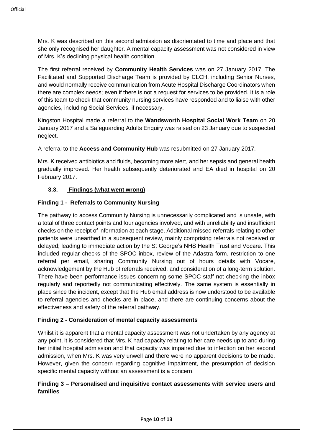Mrs. K was described on this second admission as disorientated to time and place and that she only recognised her daughter. A mental capacity assessment was not considered in view of Mrs. K's declining physical health condition.

The first referral received by **Community Health Services** was on 27 January 2017. The Facilitated and Supported Discharge Team is provided by CLCH, including Senior Nurses, and would normally receive communication from Acute Hospital Discharge Coordinators when there are complex needs; even if there is not a request for services to be provided. It is a role of this team to check that community nursing services have responded and to liaise with other agencies, including Social Services, if necessary.

Kingston Hospital made a referral to the **Wandsworth Hospital Social Work Team** on 20 January 2017 and a Safeguarding Adults Enquiry was raised on 23 January due to suspected neglect.

A referral to the **Access and Community Hub** was resubmitted on 27 January 2017.

Mrs. K received antibiotics and fluids, becoming more alert, and her sepsis and general health gradually improved. Her health subsequently deteriorated and EA died in hospital on 20 February 2017.

## **3.3. Findings (what went wrong)**

## **Finding 1 - Referrals to Community Nursing**

The pathway to access Community Nursing is unnecessarily complicated and is unsafe, with a total of three contact points and four agencies involved, and with unreliability and insufficient checks on the receipt of information at each stage. Additional missed referrals relating to other patients were unearthed in a subsequent review, mainly comprising referrals not received or delayed; leading to immediate action by the St George's NHS Health Trust and Vocare. This included regular checks of the SPOC inbox, review of the Adastra form, restriction to one referral per email, sharing Community Nursing out of hours details with Vocare, acknowledgement by the Hub of referrals received, and consideration of a long-term solution. There have been performance issues concerning some SPOC staff not checking the inbox regularly and reportedly not communicating effectively. The same system is essentially in place since the incident, except that the Hub email address is now understood to be available to referral agencies and checks are in place, and there are continuing concerns about the effectiveness and safety of the referral pathway.

### **Finding 2 - Consideration of mental capacity assessments**

Whilst it is apparent that a mental capacity assessment was not undertaken by any agency at any point, it is considered that Mrs. K had capacity relating to her care needs up to and during her initial hospital admission and that capacity was impaired due to infection on her second admission, when Mrs. K was very unwell and there were no apparent decisions to be made. However, given the concern regarding cognitive impairment, the presumption of decision specific mental capacity without an assessment is a concern.

## **Finding 3 – Personalised and inquisitive contact assessments with service users and families**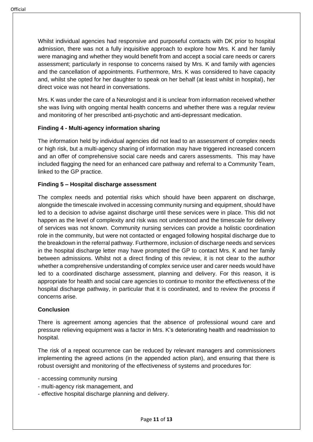Whilst individual agencies had responsive and purposeful contacts with DK prior to hospital admission, there was not a fully inquisitive approach to explore how Mrs. K and her family were managing and whether they would benefit from and accept a social care needs or carers assessment; particularly in response to concerns raised by Mrs. K and family with agencies and the cancellation of appointments. Furthermore, Mrs. K was considered to have capacity and, whilst she opted for her daughter to speak on her behalf (at least whilst in hospital), her direct voice was not heard in conversations.

Mrs. K was under the care of a Neurologist and it is unclear from information received whether she was living with ongoing mental health concerns and whether there was a regular review and monitoring of her prescribed anti-psychotic and anti-depressant medication.

## **Finding 4 - Multi-agency information sharing**

The information held by individual agencies did not lead to an assessment of complex needs or high risk, but a multi-agency sharing of information may have triggered increased concern and an offer of comprehensive social care needs and carers assessments. This may have included flagging the need for an enhanced care pathway and referral to a Community Team, linked to the GP practice.

### **Finding 5 – Hospital discharge assessment**

The complex needs and potential risks which should have been apparent on discharge, alongside the timescale involved in accessing community nursing and equipment, should have led to a decision to advise against discharge until these services were in place. This did not happen as the level of complexity and risk was not understood and the timescale for delivery of services was not known. Community nursing services can provide a holistic coordination role in the community, but were not contacted or engaged following hospital discharge due to the breakdown in the referral pathway. Furthermore, inclusion of discharge needs and services in the hospital discharge letter may have prompted the GP to contact Mrs. K and her family between admissions. Whilst not a direct finding of this review, it is not clear to the author whether a comprehensive understanding of complex service user and carer needs would have led to a coordinated discharge assessment, planning and delivery. For this reason, it is appropriate for health and social care agencies to continue to monitor the effectiveness of the hospital discharge pathway, in particular that it is coordinated, and to review the process if concerns arise.

### **Conclusion**

There is agreement among agencies that the absence of professional wound care and pressure relieving equipment was a factor in Mrs. K's deteriorating health and readmission to hospital.

The risk of a repeat occurrence can be reduced by relevant managers and commissioners implementing the agreed actions (in the appended action plan), and ensuring that there is robust oversight and monitoring of the effectiveness of systems and procedures for:

- accessing community nursing
- multi-agency risk management, and
- effective hospital discharge planning and delivery.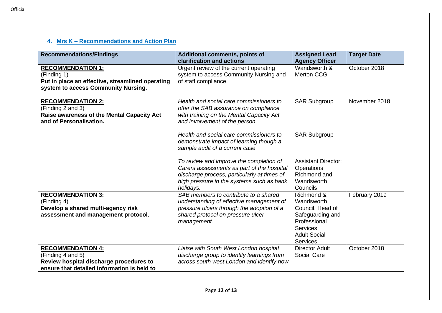## **4. Mrs K – Recommendations and Action Plan**

| <b>Recommendations/Findings</b>                                                                                                         | <b>Additional comments, points of</b><br>clarification and actions                                                                                                                             | <b>Assigned Lead</b><br><b>Agency Officer</b>                                                                                                 | <b>Target Date</b> |
|-----------------------------------------------------------------------------------------------------------------------------------------|------------------------------------------------------------------------------------------------------------------------------------------------------------------------------------------------|-----------------------------------------------------------------------------------------------------------------------------------------------|--------------------|
| <b>RECOMMENDATION 1:</b><br>(Finding 1)<br>Put in place an effective, streamlined operating<br>system to access Community Nursing.      | Urgent review of the current operating<br>system to access Community Nursing and<br>of staff compliance.                                                                                       | Wandsworth &<br><b>Merton CCG</b>                                                                                                             | October 2018       |
| <b>RECOMMENDATION 2:</b><br>(Finding 2 and 3)<br>Raise awareness of the Mental Capacity Act<br>and of Personalisation.                  | Health and social care commissioners to<br>offer the SAB assurance on compliance<br>with training on the Mental Capacity Act<br>and involvement of the person.                                 | <b>SAR Subgroup</b>                                                                                                                           | November 2018      |
|                                                                                                                                         | Health and social care commissioners to<br>demonstrate impact of learning though a<br>sample audit of a current case                                                                           | <b>SAR Subgroup</b>                                                                                                                           |                    |
|                                                                                                                                         | To review and improve the completion of<br>Carers assessments as part of the hospital<br>discharge process, particularly at times of<br>high pressure in the systems such as bank<br>holidays. | <b>Assistant Director:</b><br>Operations<br>Richmond and<br>Wandsworth<br>Councils                                                            |                    |
| <b>RECOMMENDATION 3:</b><br>(Finding 4)<br>Develop a shared multi-agency risk<br>assessment and management protocol.                    | SAB members to contribute to a shared<br>understanding of effective management of<br>pressure ulcers through the adoption of a<br>shared protocol on pressure ulcer<br>management.             | Richmond &<br>Wandsworth<br>Council, Head of<br>Safeguarding and<br>Professional<br><b>Services</b><br><b>Adult Social</b><br><b>Services</b> | February 2019      |
| <b>RECOMMENDATION 4:</b><br>(Finding 4 and 5)<br>Review hospital discharge procedures to<br>ensure that detailed information is held to | Liaise with South West London hospital<br>discharge group to identify learnings from<br>across south west London and identify how                                                              | <b>Director Adult</b><br><b>Social Care</b>                                                                                                   | October 2018       |